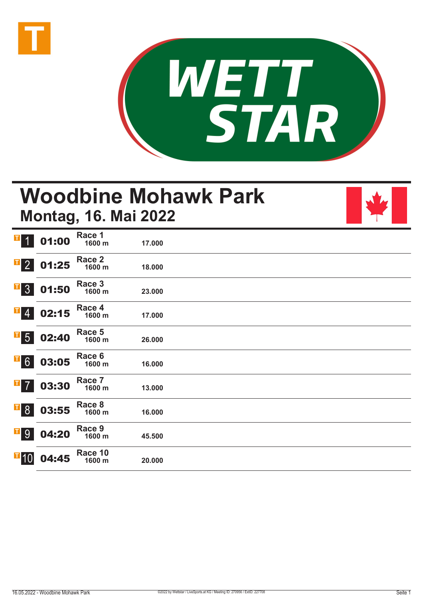



# **Woodbine Mohawk Park Montag, 16. Mai 2022**



| $\mathbf{I}$ 1             | 01:00 | Race 1<br>1600 m  | 17.000 |  |  |
|----------------------------|-------|-------------------|--------|--|--|
| $\overline{1}$ 2           | 01:25 | Race 2<br>1600 m  | 18.000 |  |  |
| $\overline{1}$ 3           | 01:50 | Race 3<br>1600 m  | 23.000 |  |  |
| $\overline{1}$ 4           | 02:15 | Race 4<br>1600 m  | 17.000 |  |  |
| $\overline{\phantom{0}}$ 5 | 02:40 | Race 5<br>1600 m  | 26.000 |  |  |
| $\overline{F}$ 6           | 03:05 | Race 6<br>1600 m  | 16.000 |  |  |
| $\overline{1}$ 7           | 03:30 | Race 7<br>1600 m  | 13.000 |  |  |
| $\overline{1}8$            | 03:55 | Race 8<br>1600 m  | 16.000 |  |  |
| $\mathbf{T}$ 9             | 04:20 | Race 9<br>1600 m  | 45.500 |  |  |
| $\mathbf{I}$ 10            | 04:45 | Race 10<br>1600 m | 20.000 |  |  |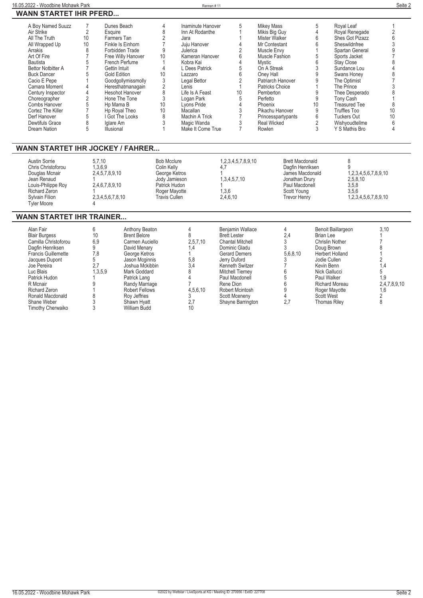| 16.05.2022 - Woodbine Mohawk Park |                               |                     |    | Rennen#11         |    |                        |    |                      | Seite 2 |
|-----------------------------------|-------------------------------|---------------------|----|-------------------|----|------------------------|----|----------------------|---------|
|                                   | <b>WANN STARTET IHR PFERD</b> |                     |    |                   |    |                        |    |                      |         |
| A Boy Named Suuzz                 |                               | Dunes Beach         |    | Inaminute Hanover |    | Mikey Mass             |    | Royal Leaf           |         |
| Air Strike                        |                               | Esquire             |    | Inn At Rodanthe   |    | Mikis Big Guy          |    | Royal Renegade       |         |
| All The Truth                     | 10                            | Farmers Tan         |    | Jara              |    | Mister Walker          |    | Shes Got Pizazz      |         |
| All Wrapped Up                    | 10                            | Finkle Is Einhorn   |    | Juju Hanover      |    | Mr Contestant          |    | Sheswildnfree        |         |
| Arrakis                           |                               | Forbidden Trade     |    | Julerica          |    | Muscle Envy            |    | Spartan General      |         |
| Art Of Fire                       |                               | Free Willy Hanover  | 10 | Kameran Hanover   |    | Muscle Fashion         |    | Sports Jacket        |         |
| Bautista                          |                               | French Perfume      |    | Kobra Kai         |    | Mystic                 |    | Stay Close           |         |
| <b>Bettor Notbitter A</b>         |                               | Gettin Intuit       |    | L Dees Patrick    |    | On A Streak            |    | Sundance Lou         |         |
| <b>Buck Dancer</b>                |                               | <b>Gold Edition</b> | 10 | Lazzaro           |    | Oney Hall              |    | Swans Honey          |         |
| Cacio E Pepe                      |                               | Goodgollymissmolly  |    | Legal Bettor      |    | Patriarch Hanover      |    | The Optimist         |         |
| Camara Moment                     |                               | Heresthatmanagain   |    | Lenis             |    | <b>Patricks Choice</b> |    | The Prince           |         |
| Century Inspector                 |                               | Hesohot Hanover     |    | Life Is A Feast   | 10 | Pemberton              |    | Thee Desperado       |         |
| Choreographer                     |                               | Hone The Tone       |    | Logan Park        |    | Perfetto               |    | Tony Cash            |         |
| Combs Hanover                     |                               | Hp Mama B           | 10 | Lvons Pride       |    | Phoenix                | 10 | <b>Treasured Tee</b> |         |
| Cortez The Killer                 |                               | Hp Royal Theo       | 10 | Macallan          |    | Pikachu Hanover        |    | Truffles Too         | 10      |
| Derf Hanover                      |                               | I Got The Looks     |    | Machin A Trick    |    | Princesspartypants     |    | Tuckers Out          |         |
| Dewtifuls Grace                   |                               | Iglare Am           |    | Magic Wanda       |    | <b>Real Wicked</b>     |    | Wishyoudtellme       |         |
| Dream Nation                      |                               | Illusional          |    | Make It Come True |    | Rowlen                 |    | Y S Mathis Bro       |         |

## **WANN STARTET IHR JOCKEY / FAHRER...**

| Austin Sorrie<br>Chris Christoforou<br>Douglas Mcnair<br>Jean Renaud<br>Louis-Philippe Roy<br><b>Richard Zeron</b> | 5.7.10<br>1,3,6,9<br>2,4,5,7,8,9,10<br>2,4,6,7,8,9,10 | <b>Bob Mcclure</b><br>Colin Kelly<br>George Ketros<br>Jody Jamieson<br>Patrick Hudon<br>Roger Mayotte | 1,2,3,4,5,7,8,9,10<br>4,7<br>1,3,4,5,7,10<br>1,3,6 | <b>Brett Macdonald</b><br>Dagfin Henriksen<br>James Macdonald<br>Jonathan Drury<br>Paul Macdonell<br>Scott Young | 1.2.3.4.5.6.7.8.9.10<br>2,5,8,10<br>3,5,8<br>3,5,6 |
|--------------------------------------------------------------------------------------------------------------------|-------------------------------------------------------|-------------------------------------------------------------------------------------------------------|----------------------------------------------------|------------------------------------------------------------------------------------------------------------------|----------------------------------------------------|
| Sylvain Filion<br><b>Tyler Moore</b>                                                                               | 2,3,4,5,6,7,8,10                                      | <b>Travis Cullen</b>                                                                                  | 2,4,6,10                                           | <b>Trevor Henry</b>                                                                                              | 1,2,3,4,5,6,7,8,9,10                               |

### **WANN STARTET IHR TRAINER...**

| Alan Fair<br><b>Blair Burgess</b><br>Camilla Christoforou<br>Dagfin Henriksen<br><b>Francis Guillemette</b><br>Jacques Dupont<br>Joe Pereira<br>Luc Blais<br>Patrick Hudon<br>R Mcnair<br><b>Richard Zeron</b> | 10<br>6,9<br>7,8<br>.3.5.9 | Anthony Beaton<br><b>Brent Belore</b><br>Carmen Auciello<br>David Menary<br>George Ketros<br>Jason Mcginnis<br>Joshua Mckibbin<br>Mark Goddard<br>Patrick Lang<br>Randy Marriage<br>Robert Fellows | 2,5,7,10<br>1.4<br>5,8<br>3,4<br>4.5.6.10 | Benjamin Wallace<br><b>Brett Lester</b><br><b>Chantal Mitchell</b><br>Dominic Gladu<br><b>Gerard Demers</b><br>Jerry Duford<br>Kenneth Switzer<br><b>Mitchell Tierney</b><br>Paul Macdonell<br>Rene Dion<br>Robert Mcintosh | 2,4<br>5,6,8,10 | Benoit Baillargeon<br>Brian Lee<br><b>Chrislin Nother</b><br>Doug Brown<br><b>Herbert Holland</b><br>Jodie Cullen<br>Kevin Benn<br>Nick Gallucci<br>Paul Walker<br><b>Richard Moreau</b><br>Roger Mayotte | 3,10<br>4.۱<br>1.9<br>2,4,7,8,9,10<br>1.6 |
|----------------------------------------------------------------------------------------------------------------------------------------------------------------------------------------------------------------|----------------------------|----------------------------------------------------------------------------------------------------------------------------------------------------------------------------------------------------|-------------------------------------------|-----------------------------------------------------------------------------------------------------------------------------------------------------------------------------------------------------------------------------|-----------------|-----------------------------------------------------------------------------------------------------------------------------------------------------------------------------------------------------------|-------------------------------------------|
|                                                                                                                                                                                                                |                            |                                                                                                                                                                                                    |                                           |                                                                                                                                                                                                                             |                 |                                                                                                                                                                                                           |                                           |
| Ronald Macdonald                                                                                                                                                                                               |                            | Roy Jeffries                                                                                                                                                                                       |                                           | Scott Mceneny                                                                                                                                                                                                               |                 | <b>Scott West</b>                                                                                                                                                                                         |                                           |
| Shane Weber                                                                                                                                                                                                    |                            | Shawn Hyatt                                                                                                                                                                                        | 2.7                                       | Shayne Barrington                                                                                                                                                                                                           | 2,7             | <b>Thomas Riley</b>                                                                                                                                                                                       |                                           |
| Timothy Cherwaiko                                                                                                                                                                                              |                            | William Budd                                                                                                                                                                                       |                                           |                                                                                                                                                                                                                             |                 |                                                                                                                                                                                                           |                                           |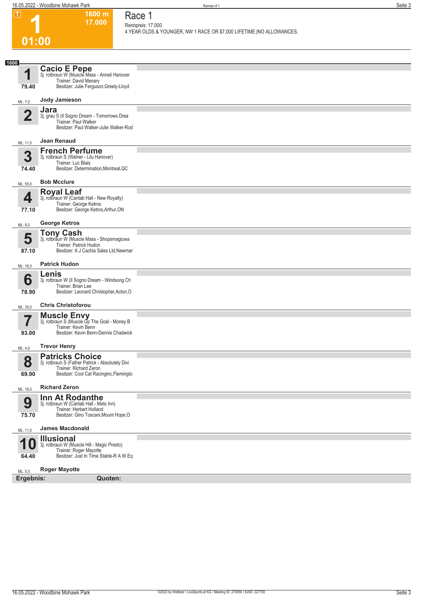#### **1 01:00 1600 m 17.000 Race 1 Rennpreis: 17.000 4 YEAR OLDS & YOUNGER, NW 1 RACE OR \$7,000 LIFETIME.|NO ALLOWANCES. 1 1600** ML: 7,0 **79.40 Cacio E Pepe**<br>3j. rotbraun W (Muscle Mass - Anneli Hanover<br>Trainer: David Menary Besitzer: Julie Ferguson,Greely-Lloyd **Jody Jamieson 2** ML: 11,0 **Jara** 3j. grau S (Il Sogno Dream - Tomorrows Drea Trainer: Paul Walker Besitzer: Paul Walker-Julie Walker-Rod **Jean Renaud 3** ML: 55,0 **74.40 French Perfume** 3j. rotbraun S (Walner - Lilu Hanover) Trainer: Luc Blais Besitzer: Determination,Montreal,QC **Bob Mcclure 4** ML: 9,0 **77.10 Royal Leaf** 3j. rotbraun W (Cantab Hall - New Royalty) Trainer: George Ketros Besitzer: George Ketros,Arthur,ON **George Ketros 5** ML: 16,0 **87.10 Tony Cash** 3j. rotbraun W (Muscle Mass - Shopsmagicwa Trainer: Patrick Hudon Besitzer: A J Cachia Sales Ltd,Newmar **Patrick Hudon 6** ML: 35,0 **78.90 Lenis** 3j. rotbraun W (Il Sogno Dream - Windsong Ch Trainer: Brian Lee Besitzer: Leonard Christopher,Acton,O **Chris Christoforou 7** ML: 4,0 **93.00 Muscle Envy** 3j. rotbraun S (Muscle Up The Goal - Money B Trainer: Kevin Benn Besitzer: Kevin Benn-Dennis Chadwick **Trevor Henry 8** ML: 16,0 **69.90 Patricks Choice** 3j. rotbraun S (Father Patrick - Absolutely Divi Trainer: Richard Zeron Besitzer: Cool Cat Racinginc,Flemingto **Richard Zeron 9** ML: 11,0 **75.70 Inn At Rodanthe** 3j. rotbraun W (Cantab Hall - Mets Inn) Trainer: Herbert Holland Besitzer: Gino Toscani,Mount Hope,O **James Macdonald 10** ML: 5,0 **64.40 Illusional** 3j. rotbraun W (Muscle Hill - Magic Presto) Trainer: Roger Mayotte Besitzer: Just In Time Stable-R A W Eq **Roger Mayotte Ergebnis: Quoten:**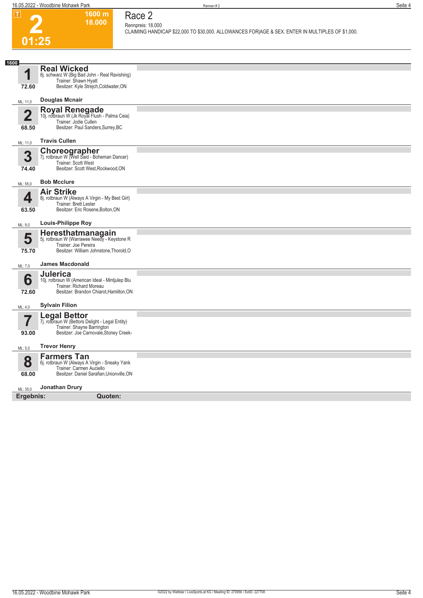**2**

**01:25**

### **1600 m 18.000 Race 2**

**Rennpreis: 18.000**

**CLAIMING HANDICAP \$22,000 TO \$30,000. ALLOWANCES FOR|AGE & SEX. ENTER IN MULTIPLES OF \$1,000.** 

| 1600                  |                                                                                                                                  |  |
|-----------------------|----------------------------------------------------------------------------------------------------------------------------------|--|
| 4                     | <b>Real Wicked</b><br>8j. schwarz W (Big Bad John - Real Ravishing)<br>Trainer: Shawn Hyatt                                      |  |
| 72.60                 | Besitzer: Kyle Strejch, Coldwater, ON                                                                                            |  |
| ML: 11,0              | Douglas Mcnair                                                                                                                   |  |
| $\overline{2}$        | Royal Renegade<br>10j. rotbraun W (Jk Royal Flush - Palma Ceia)<br>Trainer: Jodie Cullen                                         |  |
| 68.50                 | Besitzer: Paul Sanders, Surrey, BC                                                                                               |  |
| ML: 11,0              | <b>Travis Cullen</b>                                                                                                             |  |
| 3<br>74.40            | <b>Choreographer</b><br>7j. rotbraun W (Well Said - Boheman Dancer)<br>Trainer: Scott West<br>Besitzer: Scott West, Rockwood, ON |  |
|                       | <b>Bob Mcclure</b>                                                                                                               |  |
| ML: 55,0              |                                                                                                                                  |  |
| 4                     | <b>Air Strike</b><br>8j. rotbraun W (Always A Virgin - My Best Girl)<br>Trainer: Brett Lester                                    |  |
| 63.50                 | Besitzer: Eric Rosene, Bolton, ON                                                                                                |  |
| ML: 9,0               | <b>Louis-Philippe Roy</b>                                                                                                        |  |
| 5                     | Heresthatmanagain<br>5j. rotbraun W (Warrawee Needy - Keystone R                                                                 |  |
| 75.70                 | Trainer: Joe Pereira<br>Besitzer: William Johnstone, Thorold, O                                                                  |  |
| ML: 7,0               | <b>James Macdonald</b>                                                                                                           |  |
| 6                     | <b>Julerica</b>                                                                                                                  |  |
| 72.60                 | 10j. rotbraun W (American Ideal - Mintjulep Blu<br>Trainer: Richard Moreau<br>Besitzer: Brandon Chiarot, Hamilton, ON            |  |
|                       |                                                                                                                                  |  |
| ML: 4,0               | <b>Sylvain Filion</b>                                                                                                            |  |
| 7                     | Legal Bettor<br>7j. rotbraun W (Bettors Delight - Legal Entity)<br>Trainer: Shayne Barrington                                    |  |
| 93.00                 | Besitzer: Joe Carnovale, Stoney Creek-                                                                                           |  |
| ML: 5,0               | <b>Trevor Henry</b>                                                                                                              |  |
| 8                     | <b>Farmers Tan</b><br>6j. rotbraun W (Always A Virgin - Sneaky Yank                                                              |  |
| 68.00                 | Trainer: Carmen Auciello<br>Besitzer: Daniel Sarafian, Unionville, ON                                                            |  |
|                       | <b>Jonathan Drury</b>                                                                                                            |  |
| ML: 35.0<br>Ergebnis: | Quoten:                                                                                                                          |  |
|                       |                                                                                                                                  |  |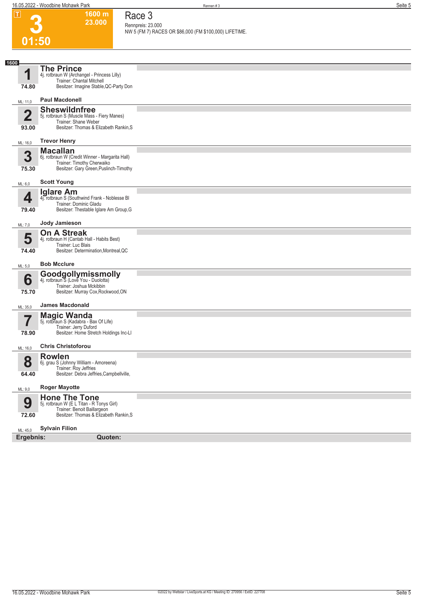| $\Box$                  | 1600 m                                                                        | Race 3                                                 |
|-------------------------|-------------------------------------------------------------------------------|--------------------------------------------------------|
|                         | 23.000                                                                        | Rennpreis: 23.000                                      |
|                         | 01:50                                                                         | NW 5 (FM 7) RACES OR \$86,000 (FM \$100,000) LIFETIME. |
|                         |                                                                               |                                                        |
| 1600                    |                                                                               |                                                        |
| 1                       | <b>The Prince</b><br>4j. rotbraun W (Archangel - Princess Lilly)              |                                                        |
| 74.80                   | Trainer: Chantal Mitchell<br>Besitzer: Imagine Stable, QC-Party Don           |                                                        |
|                         | <b>Paul Macdonell</b>                                                         |                                                        |
| ML: 11,0                | <b>Sheswildnfree</b>                                                          |                                                        |
| $\overline{\mathbf{2}}$ | 5j. rotbraun S (Muscle Mass - Fiery Manes)<br>Trainer: Shane Weber            |                                                        |
| 93.00                   | Besitzer: Thomas & Elizabeth Rankin, S                                        |                                                        |
| ML: 16,0                | <b>Trevor Henry</b>                                                           |                                                        |
| 3                       | <b>Macallan</b>                                                               |                                                        |
|                         | 6j. rotbraun W (Credit Winner - Margarita Hall)<br>Trainer: Timothy Cherwaiko |                                                        |
| 75.30                   | Besitzer: Gary Green, Puslinch-Timothy                                        |                                                        |
| ML: 6,0                 | <b>Scott Young</b>                                                            |                                                        |
| 4                       | <b>Iglare Am</b><br>4j. rotbraun S (Southwind Frank - Noblesse BI             |                                                        |
| 79.40                   | Trainer: Dominic Gladu<br>Besitzer: Thestable Iglare Am Group, G              |                                                        |
| ML: 7,0                 | Jody Jamieson                                                                 |                                                        |
|                         | <b>On A Streak</b>                                                            |                                                        |
| 5                       | 4j. rotbraun H (Cantab Hall - Habits Best)<br>Trainer: Luc Blais              |                                                        |
| 74.40                   | Besitzer: Determination, Montreal, QC                                         |                                                        |
| ML: 5,0                 | <b>Bob Mcclure</b>                                                            |                                                        |
| 6                       | <b>Goodgollymissmolly</b><br>4j. rotbraun S (Love You - Duolotta)             |                                                        |
| 75.70                   | Trainer: Joshua Mckibbin<br>Besitzer: Murray Cox, Rockwood, ON                |                                                        |
| ML: 35,0                | <b>James Macdonald</b>                                                        |                                                        |
|                         | <b>Magic Wanda</b>                                                            |                                                        |
|                         | 5j. rotbraun S (Kadabra - Bax Of Life)<br>Trainer: Jerry Duford               |                                                        |
| 78.90                   | Besitzer: Home Stretch Holdings Inc-LI                                        |                                                        |
| ML: 16,0                | <b>Chris Christoforou</b>                                                     |                                                        |
| 8                       | <b>Rowlen</b><br>6j. grau S (Johnny William - Amoreena)                       |                                                        |
| 64.40                   | Trainer: Roy Jeffries<br>Besitzer: Debra Jeffries, Campbellville,             |                                                        |
|                         | <b>Roger Mayotte</b>                                                          |                                                        |
| ML: 9,0                 | <b>Hone The Tone</b>                                                          |                                                        |
| 9                       | 5j. rotbraun W (E L Titan - R Tonys Girl)<br>Trainer: Benoit Baillargeon      |                                                        |
| 72.60                   | Besitzer: Thomas & Elizabeth Rankin, S                                        |                                                        |
| ML: 45,0                | <b>Sylvain Filion</b>                                                         |                                                        |
| Ergebnis:               | Quoten:                                                                       |                                                        |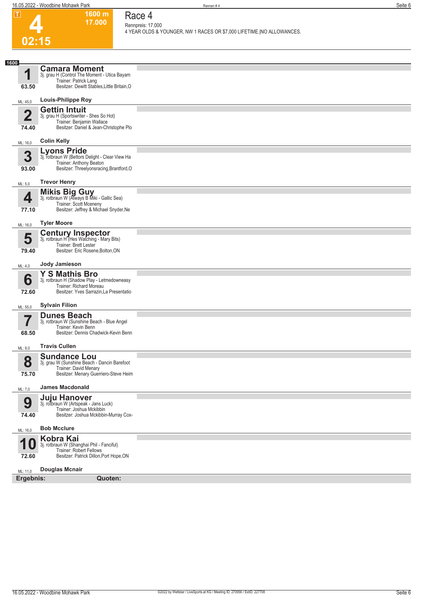**1600 m 17.000**  **Race 4 Rennpreis: 17.000**

**4 YEAR OLDS & YOUNGER, NW 1 RACES OR \$7,000 LIFETIME.|NO ALLOWANCES.** 

## **4 02:15**

| 1600                     | <b>Camara Moment</b>                                                  |  |
|--------------------------|-----------------------------------------------------------------------|--|
| 4                        | 3j. grau H (Control The Moment - Utica Bayam<br>Trainer: Patrick Lang |  |
| 63.50                    | Besitzer: Dewitt Stables, Little Britain, O                           |  |
| ML: 45,0                 | <b>Louis-Philippe Roy</b>                                             |  |
|                          | <b>Gettin Intuit</b>                                                  |  |
| $\mathbf 2$              | 3j. grau H (Sportswriter - Shes So Hot)<br>Trainer: Benjamin Wallace  |  |
| 74.40                    | Besitzer: Daniel & Jean-Christophe Plo                                |  |
| ML: 16,0                 | <b>Colin Kelly</b>                                                    |  |
| 3                        | <b>Lyons Pride</b><br>3j. rotbraun W (Bettors Delight - Clear View Ha |  |
|                          | Trainer: Anthony Beaton                                               |  |
| 93.00                    | Besitzer: Threelyonsracing, Brantford, O                              |  |
| ML: 5,0                  | <b>Trevor Henry</b>                                                   |  |
| 4                        | <b>Mikis Big Guy</b><br>3j. rotbraun W (Always B Miki - Gallic Sea)   |  |
|                          | Trainer: Scott Mceneny                                                |  |
| 77.10                    | Besitzer: Jeffrey & Michael Snyder, Ne                                |  |
| ML: 16,0                 | <b>Tyler Moore</b>                                                    |  |
| 5                        | <b>Century Inspector</b><br>3j. rotbraun H (Hes Watching - Mary Bits) |  |
|                          | Trainer: Brett Lester                                                 |  |
| 79.40                    | Besitzer: Eric Rosene, Bolton, ON                                     |  |
| ML: 4,0                  | Jody Jamieson                                                         |  |
| 6                        | <b>Y S Mathis Bro</b><br>3j. rotbraun H (Shadow Play - Letmedowneasy  |  |
|                          | Trainer: Richard Moreau                                               |  |
| 72.60                    | Besitzer: Yves Sarrazin, La Presentatio                               |  |
| ML: 55,0                 | <b>Sylvain Filion</b>                                                 |  |
| $\overline{\phantom{a}}$ | <b>Dunes Beach</b><br>3j. rotbraun W (Sunshine Beach - Blue Angel     |  |
|                          | Trainer: Kevin Benn                                                   |  |
| 68.50                    | Besitzer: Dennis Chadwick-Kevin Benn                                  |  |
| ML: 9,0                  | <b>Travis Cullen</b>                                                  |  |
| 8                        | <b>Sundance Lou</b><br>3j. grau W (Sunshine Beach - Dancin Barefoot   |  |
|                          | Trainer: David Menary                                                 |  |
| 75.70                    | Besitzer: Menary Guerriero-Steve Heim                                 |  |
| ML: 7,0                  | <b>James Macdonald</b>                                                |  |
| 9                        | Juju Hanover<br>3j. rotbraun W (Artspeak - Jans Luck)                 |  |
|                          | Trainer: Joshua Mckibbin                                              |  |
| 74.40                    | Besitzer: Joshua Mckibbin-Murray Cox-                                 |  |
| ML: 16,0                 | <b>Bob Mcclure</b>                                                    |  |
|                          | Kobra Kai<br>3j. rotbraun W (Shanghai Phil - Fanciful)                |  |
| U                        | Trainer: Robert Fellows                                               |  |
| 72.60                    | Besitzer: Patrick Dillon, Port Hope, ON                               |  |
| ML: 11,0                 | <b>Douglas Mcnair</b>                                                 |  |
| Ergebnis:                | Quoten:                                                               |  |
|                          |                                                                       |  |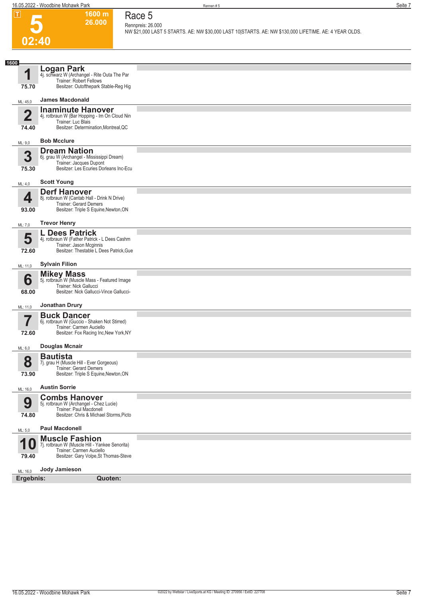

#### **1600 m 26.000 Race 5 Rennpreis: 26.000**

**NW \$21,000 LAST 5 STARTS. AE: NW \$30,000 LAST 10|STARTS. AE: NW \$130,000 LIFETIME. AE: 4 YEAR OLDS.** 

| 1600                    |                                                                                                                                              |  |
|-------------------------|----------------------------------------------------------------------------------------------------------------------------------------------|--|
| 1<br>75.70              | Logan Park<br>4j. schwarz W (Archangel - Rite Outa The Par<br><b>Trainer: Robert Fellows</b><br>Besitzer: Outofthepark Stable-Reg Hig        |  |
| ML: 45,0                | <b>James Macdonald</b>                                                                                                                       |  |
| $\overline{2}$<br>74.40 | <b>Inaminute Hanover</b><br>4j. rotbraun W (Bar Hopping - Im On Cloud Nin<br>Trainer: Luc Blais<br>Besitzer: Determination, Montreal, QC     |  |
| ML: 9,0                 | <b>Bob Mcclure</b>                                                                                                                           |  |
| 3<br>75.30              | <b>Dream Nation</b><br>6j. grau W (Archangel - Mississippi Dream)<br>Trainer: Jacques Dupont<br>Besitzer: Les Ecuries Dorleans Inc-Ecu       |  |
| ML: 4,0                 | <b>Scott Young</b>                                                                                                                           |  |
| 4<br>93.00              | <b>Derf Hanover</b><br>8j. rotbraun W (Cantab Hall - Drink N Drive)<br>Trainer: Gerard Demers<br>Besitzer: Triple S Equine, Newton, ON       |  |
| ML: 7,0                 | <b>Trevor Henry</b>                                                                                                                          |  |
| 5<br>72.60              | L Dees Patrick<br>4j. rotbraun W (Father Patrick - L Dees Cashm<br>Trainer: Jason Mcginnis<br>Besitzer: Thestable L Dees Patrick, Gue        |  |
| ML: 11,0                | <b>Sylvain Filion</b>                                                                                                                        |  |
| 6<br>68.00              | <b>Mikey Mass</b><br>5j. rotbraun W (Muscle Mass - Featured Image<br>Trainer: Nick Gallucci<br>Besitzer: Nick Gallucci-Vince Gallucci-       |  |
| ML: 11,0                | Jonathan Drury                                                                                                                               |  |
| 72.60                   | <b>Buck Dancer</b><br>6j. rotbraun W (Guccio - Shaken Not Stirred)<br>Trainer: Carmen Auciello<br>Besitzer: Fox Racing Inc, New York, NY     |  |
| ML: 6,0                 | <b>Douglas Mcnair</b>                                                                                                                        |  |
| 8<br>73.90              | <b>Bautista</b><br>7j. grau H (Muscle Hill - Ever Gorgeous)<br>Trainer: Gerard Demers<br>Besitzer: Triple S Equine, Newton, ON               |  |
| ML: 16,0                | <b>Austin Sorrie</b>                                                                                                                         |  |
| 9<br>74.80              | <b>Combs Hanover</b><br>5j. rotbraun W (Archangel - Chez Lucie)<br>Trainer: Paul Macdonell<br>Besitzer: Chris & Michael Storms, Picto        |  |
| ML: 5,0                 | <b>Paul Macdonell</b>                                                                                                                        |  |
| И<br>U<br>79.40         | <b>Muscle Fashion</b><br>7j. rotbraun W (Muscle Hill - Yankee Senorita)<br>Trainer: Carmen Auciello<br>Besitzer: Gary Volpe, St Thomas-Steve |  |
| ML: 16,0                | Jody Jamieson                                                                                                                                |  |
| Ergebnis:               | Quoten:                                                                                                                                      |  |
|                         |                                                                                                                                              |  |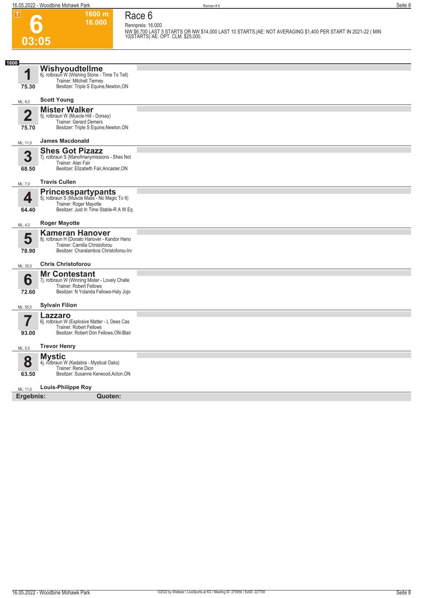**6**

**03:05**

**1600 m 16.000 Race 6**

**Rennpreis: 16.000 NW \$6,700 LAST 5 STARTS OR NW \$14,000 LAST 10 STARTS.|AE: NOT AVERAGING \$1,400 PER START IN 2021-22 ( MIN 10|STARTS) AE: OPT. CLM. \$25,000.** 

| 1600<br>1               | Wishyoudtellme                                                             |  |
|-------------------------|----------------------------------------------------------------------------|--|
|                         |                                                                            |  |
|                         | 6j. rotbraun W (Wishing Stone - Time To Tell)<br>Trainer: Mitchell Tierney |  |
| 75.30                   | Besitzer: Triple S Equine, Newton, ON                                      |  |
| ML: 9,0                 | <b>Scott Young</b>                                                         |  |
| $\overline{\mathbf{2}}$ | <b>Mister Walker</b><br>5j. rotbraun W (Muscle Hill - Dorsay)              |  |
|                         | Trainer: Gerard Demers                                                     |  |
| 75.70                   | Besitzer: Triple S Equine, Newton, ON                                      |  |
| ML: 11.0                | <b>James Macdonald</b>                                                     |  |
| 3                       | <b>Shes Got Pizazz</b><br>7j. rotbraun S (Manofmanymissions - Shes Not     |  |
|                         | Trainer: Alan Fair<br>Besitzer: Elizabeth Fair, Ancaster, ON               |  |
| 68.50                   |                                                                            |  |
| ML: 7,0                 | <b>Travis Cullen</b>                                                       |  |
| 4                       | <b>Princesspartypants</b><br>5j. rotbraun S (Muscle Mass - No Magic To It) |  |
| 64.40                   | Trainer: Roger Mayotte<br>Besitzer: Just In Time Stable-R A W Eq           |  |
|                         |                                                                            |  |
| ML: 4,0                 | <b>Roger Mayotte</b>                                                       |  |
| 5                       | <b>Kameran Hanover</b><br>8j. rotbraun H (Donato Hanover - Kandor Hano     |  |
| 78.90                   | Trainer: Camilla Christoforou<br>Besitzer: Charalambos Christoforou-Irv    |  |
|                         |                                                                            |  |
| ML: 35,0                | <b>Chris Christoforou</b>                                                  |  |
| 6                       | <b>Mr Contestant</b><br>7j. rotbraun W (Winning Mister - Lovely Challe     |  |
| 72.60                   | Trainer: Robert Fellows<br>Besitzer: N Yolanda Fellows-Haly Jojo           |  |
|                         |                                                                            |  |
| ML: 55,0                | <b>Sylvain Filion</b>                                                      |  |
| $\overline{\mathbf{7}}$ | Lazzaro<br>6j. rotbraun W (Explosive Matter - L Dees Cas                   |  |
|                         | <b>Trainer: Robert Fellows</b>                                             |  |
| 93.00                   | Besitzer: Robert Don Fellows, ON-Blair                                     |  |
| ML: 5,0                 | <b>Trevor Henry</b>                                                        |  |
| 8                       | <b>Mystic</b><br>4j. rotbraun W (Kadabra - Mystical Oaks)                  |  |
|                         | Trainer: Rene Dion                                                         |  |
| 63.50                   | Besitzer: Susanne Kerwood, Acton, ON                                       |  |
| ML: 11,0                | <b>Louis-Philippe Roy</b>                                                  |  |
| Ergebnis:               | Quoten:                                                                    |  |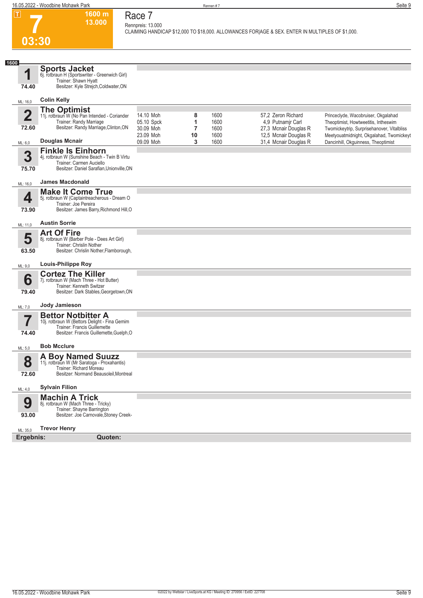**1600 m 13.000** 

**Race 7 Rennpreis: 13.000**

**CLAIMING HANDICAP \$12,000 TO \$18,000. ALLOWANCES FOR|AGE & SEX. ENTER IN MULTIPLES OF \$1,000.** 



| 1600                    | <b>Sports Jacket</b>                                                     |                        |         |              |                                                |                                                                                 |
|-------------------------|--------------------------------------------------------------------------|------------------------|---------|--------------|------------------------------------------------|---------------------------------------------------------------------------------|
| 4                       | 6j. rotbraun H (Sportswriter - Greenwich Girl)<br>Trainer: Shawn Hyatt   |                        |         |              |                                                |                                                                                 |
| 74.40                   | Besitzer: Kyle Streich, Coldwater, ON                                    |                        |         |              |                                                |                                                                                 |
| ML: 16,0                | <b>Colin Kelly</b>                                                       |                        |         |              |                                                |                                                                                 |
| $\overline{\mathbf{2}}$ | The Optimist<br>11j. rotbraun W (No Pan Intended - Coriander             | 14.10 Moh              |         |              | 57,2 Zeron Richard                             |                                                                                 |
|                         | Trainer: Randy Marriage                                                  | 05.10 Spck             | 8<br>1  | 1600<br>1600 | 4,9 Putnamjr Carl                              | Princeclyde, Wacobruiser, Okgalahad<br>Theoptimist, Howtweetitis, Intheswim     |
| 72.60                   | Besitzer: Randy Marriage, Clinton, ON                                    | 30.09 Moh              | 7       | 1600         | 27,3 Mcnair Douglas R                          | Twomickeytrip, Surprisehanover, Vitalbliss                                      |
| ML: 6,0                 | <b>Douglas Mcnair</b>                                                    | 23.09 Moh<br>09.09 Moh | 10<br>3 | 1600<br>1600 | 12,5 Mcnair Douglas R<br>31,4 Mcnair Douglas R | Meetyouatmidnight, Okgalahad, Twomickeyt<br>Dancinhill, Okguinness, Theoptimist |
|                         | <b>Finkle Is Einhorn</b>                                                 |                        |         |              |                                                |                                                                                 |
| 3                       | 4j. rotbraun W (Sunshine Beach - Twin B Virtu                            |                        |         |              |                                                |                                                                                 |
| 75.70                   | Trainer: Carmen Auciello<br>Besitzer: Daniel Sarafian, Unionville, ON    |                        |         |              |                                                |                                                                                 |
| ML: 16,0                | <b>James Macdonald</b>                                                   |                        |         |              |                                                |                                                                                 |
|                         | <b>Make It Come True</b>                                                 |                        |         |              |                                                |                                                                                 |
| 4                       | 5j. rotbraun W (Captaintreacherous - Dream O                             |                        |         |              |                                                |                                                                                 |
| 73.90                   | Trainer: Joe Pereira<br>Besitzer: James Barry, Richmond Hill, O          |                        |         |              |                                                |                                                                                 |
| ML: 11,0                | <b>Austin Sorrie</b>                                                     |                        |         |              |                                                |                                                                                 |
|                         | <b>Art Of Fire</b>                                                       |                        |         |              |                                                |                                                                                 |
| 5                       | 8j. rotbraun W (Barber Pole - Dees Art Girl)<br>Trainer: Chrislin Nother |                        |         |              |                                                |                                                                                 |
| 63.50                   | Besitzer: Chrislin Nother, Flamborough,                                  |                        |         |              |                                                |                                                                                 |
| ML: 9,0                 | <b>Louis-Philippe Roy</b>                                                |                        |         |              |                                                |                                                                                 |
|                         | <b>Cortez The Killer</b>                                                 |                        |         |              |                                                |                                                                                 |
| 6                       | 7j. rotbraun W (Mach Three - Hot Butter)<br>Trainer: Kenneth Switzer     |                        |         |              |                                                |                                                                                 |
| 79.40                   | Besitzer: Dark Stables, Georgetown, ON                                   |                        |         |              |                                                |                                                                                 |
| ML: 7,0                 | Jody Jamieson                                                            |                        |         |              |                                                |                                                                                 |
|                         | <b>Bettor Notbitter A</b>                                                |                        |         |              |                                                |                                                                                 |
|                         | 10j. rotbraun W (Bettors Delight - Fina Gemim                            |                        |         |              |                                                |                                                                                 |
| 74.40                   | Trainer: Francis Guillemette<br>Besitzer: Francis Guillemette, Guelph, O |                        |         |              |                                                |                                                                                 |
|                         | <b>Bob Mcclure</b>                                                       |                        |         |              |                                                |                                                                                 |
| ML: 5,0                 |                                                                          |                        |         |              |                                                |                                                                                 |
| 8                       | <b>A Boy Named Suuzz</b><br>11j. rotbraun W (Mr Saratoga - Proxahantis)  |                        |         |              |                                                |                                                                                 |
|                         | Trainer: Richard Moreau                                                  |                        |         |              |                                                |                                                                                 |
| 72.60                   | Besitzer: Normand Beausoleil, Montreal                                   |                        |         |              |                                                |                                                                                 |
| ML: 4,0                 | <b>Sylvain Filion</b>                                                    |                        |         |              |                                                |                                                                                 |
|                         | <b>Machin A Trick</b>                                                    |                        |         |              |                                                |                                                                                 |
| 9                       | 8j. rotbraun W (Mach Three - Tricky)<br>Trainer: Shayne Barrington       |                        |         |              |                                                |                                                                                 |
| 93.00                   | Besitzer: Joe Carnovale, Stoney Creek-                                   |                        |         |              |                                                |                                                                                 |
| ML: 35,0                | <b>Trevor Henry</b>                                                      |                        |         |              |                                                |                                                                                 |
| Ergebnis:               | Quoten:                                                                  |                        |         |              |                                                |                                                                                 |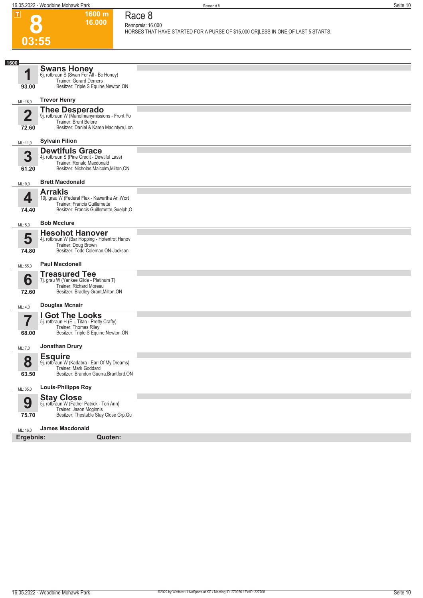**1600 m**

**Race 8**

 $\boxed{\Box}$  0

|                | 16.000                                                                                          | Rennpreis: 16.000<br>HORSES THAT HAVE STARTED FOR A PURSE OF \$15,000 OR LESS IN ONE OF LAST 5 STARTS. |
|----------------|-------------------------------------------------------------------------------------------------|--------------------------------------------------------------------------------------------------------|
| 03:55          |                                                                                                 |                                                                                                        |
|                |                                                                                                 |                                                                                                        |
| 1600           |                                                                                                 |                                                                                                        |
| 1              | <b>Swans Honey</b><br>6j. rotbraun S (Swan For All - Bc Honey)<br><b>Trainer: Gerard Demers</b> |                                                                                                        |
| 93.00          | Besitzer: Triple S Equine, Newton, ON                                                           |                                                                                                        |
| ML: 16,0       | <b>Trevor Henry</b>                                                                             |                                                                                                        |
| $\overline{2}$ | <b>Thee Desperado</b><br>9j. rotbraun W (Manofmanymissions - Front Po                           |                                                                                                        |
|                | Trainer: Brent Belore<br>Besitzer: Daniel & Karen Macintyre, Lon                                |                                                                                                        |
| 72.60          |                                                                                                 |                                                                                                        |
| ML: 11,0       | <b>Sylvain Filion</b><br><b>Dewtifuls Grace</b>                                                 |                                                                                                        |
| 3              | 4j. rotbraun S (Pine Credit - Dewtiful Lass)<br>Trainer: Ronald Macdonald                       |                                                                                                        |
| 61.20          | Besitzer: Nicholas Malcolm, Milton, ON                                                          |                                                                                                        |
| ML: 9,0        | <b>Brett Macdonald</b>                                                                          |                                                                                                        |
| 4              | <b>Arrakis</b><br>10j. grau W (Federal Flex - Kawartha An Wort                                  |                                                                                                        |
| 74.40          | Trainer: Francis Guillemette<br>Besitzer: Francis Guillemette, Guelph, O                        |                                                                                                        |
|                | <b>Bob Mcclure</b>                                                                              |                                                                                                        |
| ML: 5,0        | <b>Hesohot Hanover</b>                                                                          |                                                                                                        |
| 5              | 4j. rotbraun W (Bar Hopping - Hotentrot Hanov                                                   |                                                                                                        |
| 74.80          | Trainer: Doug Brown<br>Besitzer: Todd Coleman, ON-Jackson                                       |                                                                                                        |
| ML: 55,0       | <b>Paul Macdonell</b>                                                                           |                                                                                                        |
| 6              | <b>Treasured Tee</b><br>7j. grau W (Yankee Glide - Platinum T)                                  |                                                                                                        |
|                | Trainer: Richard Moreau<br>Besitzer: Bradley Grant, Milton, ON                                  |                                                                                                        |
| 72.60          |                                                                                                 |                                                                                                        |
| ML: 4,0        | <b>Douglas Mcnair</b>                                                                           |                                                                                                        |
| 7              | <b>I Got The Looks</b><br>5j. rotbraun H (E L Titan - Pretty Crafty)                            |                                                                                                        |
| 68.00          | Trainer: Thomas Riley<br>Besitzer: Triple S Equine, Newton, ON                                  |                                                                                                        |
| ML: 7,0        | Jonathan Drury                                                                                  |                                                                                                        |
| 8              | <b>Esquire</b><br>9j. rotbraun W (Kadabra - Earl Of My Dreams)                                  |                                                                                                        |
| 63.50          | Trainer: Mark Goddard<br>Besitzer: Brandon Guerra, Brantford, ON                                |                                                                                                        |
|                | <b>Louis-Philippe Roy</b>                                                                       |                                                                                                        |
| ML: 35,0       | <b>Stay Close</b>                                                                               |                                                                                                        |
| 9              | 5j. rotbraun W (Father Patrick - Tori Ann)<br>Trainer: Jason Mcginnis                           |                                                                                                        |
| 75.70          | Besitzer: Thestable Stay Close Grp, Gu                                                          |                                                                                                        |
| ML: 16,0       | <b>James Macdonald</b>                                                                          |                                                                                                        |
| Ergebnis:      | Quoten:                                                                                         |                                                                                                        |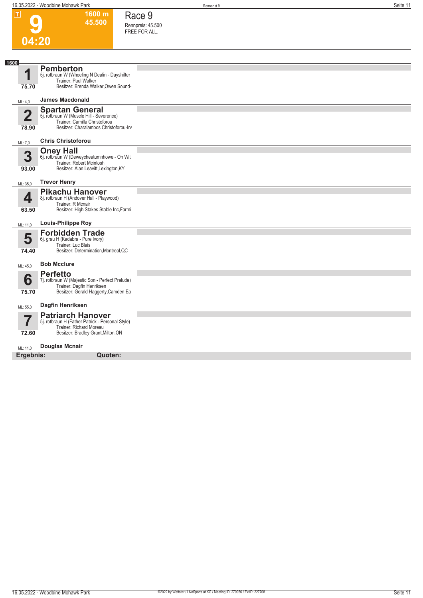**1600 m 45.500**  **Race 9 Rennpreis: 45.500 FREE FOR ALL.** 

**9**



| 04.20                            |                                                                                                                                                |  |
|----------------------------------|------------------------------------------------------------------------------------------------------------------------------------------------|--|
|                                  |                                                                                                                                                |  |
| 1600<br>1<br>75.70               | <b>Pemberton</b><br>5j. rotbraun W (Wheeling N Dealin - Dayshifter<br>Trainer: Paul Walker<br>Besitzer: Brenda Walker, Owen Sound-             |  |
| ML: 4,0                          | <b>James Macdonald</b>                                                                                                                         |  |
| $\overline{\mathbf{2}}$<br>78.90 | <b>Spartan General</b><br>5j. rotbraun W (Muscle Hill - Severence)<br>Trainer: Camilla Christoforou<br>Besitzer: Charalambos Christoforou-Irv  |  |
| ML: 7.0                          | <b>Chris Christoforou</b>                                                                                                                      |  |
| 3<br>93.00                       | <b>Oney Hall</b><br>6j. rotbraun W (Deweycheatumnhowe - On Wit<br>Trainer: Robert Mcintosh<br>Besitzer: Alan Leavitt, Lexington, KY            |  |
| ML: 35,0                         | <b>Trevor Henry</b>                                                                                                                            |  |
| 4<br>63.50                       | <b>Pikachu Hanover</b><br>8j. rotbraun H (Andover Hall - Playwood)<br>Trainer: R Mcnair<br>Besitzer: High Stakes Stable Inc, Farmi             |  |
| ML: 11,0                         | <b>Louis-Philippe Roy</b>                                                                                                                      |  |
| 5<br>74.40                       | <b>Forbidden Trade</b><br>6j. grau H (Kadabra - Pure Ivory)<br>Trainer: Luc Blais<br>Besitzer: Determination, Montreal, QC                     |  |
| ML: 45,0                         | <b>Bob Mcclure</b>                                                                                                                             |  |
| 6<br>75.70                       | <b>Perfetto</b><br>7j. rotbraun W (Majestic Son - Perfect Prelude)<br>Trainer: Dagfin Henriksen<br>Besitzer: Gerald Haggerty, Camden Ea        |  |
| ML: 55,0                         | Dagfin Henriksen                                                                                                                               |  |
| 72.60                            | <b>Patriarch Hanover</b><br>5j. rotbraun H (Father Patrick - Personal Style)<br>Trainer: Richard Moreau<br>Besitzer: Bradley Grant, Milton, ON |  |
| ML: 11,0                         | <b>Douglas Mcnair</b>                                                                                                                          |  |
| Ergebnis:                        | Quoten:                                                                                                                                        |  |